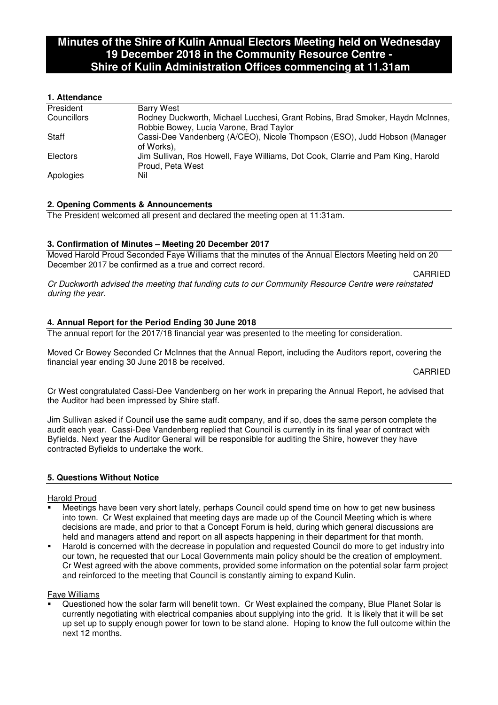# **Minutes of the Shire of Kulin Annual Electors Meeting held on Wednesday 19 December 2018 in the Community Resource Centre - Shire of Kulin Administration Offices commencing at 11.31am**

# **1. Attendance**

| President   | <b>Barry West</b>                                                               |
|-------------|---------------------------------------------------------------------------------|
| Councillors | Rodney Duckworth, Michael Lucchesi, Grant Robins, Brad Smoker, Haydn McInnes,   |
|             | Robbie Bowey, Lucia Varone, Brad Taylor                                         |
| Staff       | Cassi-Dee Vandenberg (A/CEO), Nicole Thompson (ESO), Judd Hobson (Manager       |
|             | of Works),                                                                      |
| Electors    | Jim Sullivan, Ros Howell, Faye Williams, Dot Cook, Clarrie and Pam King, Harold |
|             | Proud, Peta West                                                                |
| Apologies   | Nil                                                                             |

## **2. Opening Comments & Announcements**

The President welcomed all present and declared the meeting open at 11:31am.

# **3. Confirmation of Minutes – Meeting 20 December 2017**

Moved Harold Proud Seconded Faye Williams that the minutes of the Annual Electors Meeting held on 20 December 2017 be confirmed as a true and correct record.

CARRIED Cr Duckworth advised the meeting that funding cuts to our Community Resource Centre were reinstated during the year.

# **4. Annual Report for the Period Ending 30 June 2018**

The annual report for the 2017/18 financial year was presented to the meeting for consideration.

Moved Cr Bowey Seconded Cr McInnes that the Annual Report, including the Auditors report, covering the financial year ending 30 June 2018 be received.

CARRIED

Cr West congratulated Cassi-Dee Vandenberg on her work in preparing the Annual Report, he advised that the Auditor had been impressed by Shire staff.

Jim Sullivan asked if Council use the same audit company, and if so, does the same person complete the audit each year. Cassi-Dee Vandenberg replied that Council is currently in its final year of contract with Byfields. Next year the Auditor General will be responsible for auditing the Shire, however they have contracted Byfields to undertake the work.

## **5. Questions Without Notice**

## Harold Proud

- Meetings have been very short lately, perhaps Council could spend time on how to get new business into town. Cr West explained that meeting days are made up of the Council Meeting which is where decisions are made, and prior to that a Concept Forum is held, during which general discussions are held and managers attend and report on all aspects happening in their department for that month.
- Harold is concerned with the decrease in population and requested Council do more to get industry into our town, he requested that our Local Governments main policy should be the creation of employment. Cr West agreed with the above comments, provided some information on the potential solar farm project and reinforced to the meeting that Council is constantly aiming to expand Kulin.

## Faye Williams

 Questioned how the solar farm will benefit town. Cr West explained the company, Blue Planet Solar is currently negotiating with electrical companies about supplying into the grid. It is likely that it will be set up set up to supply enough power for town to be stand alone. Hoping to know the full outcome within the next 12 months.